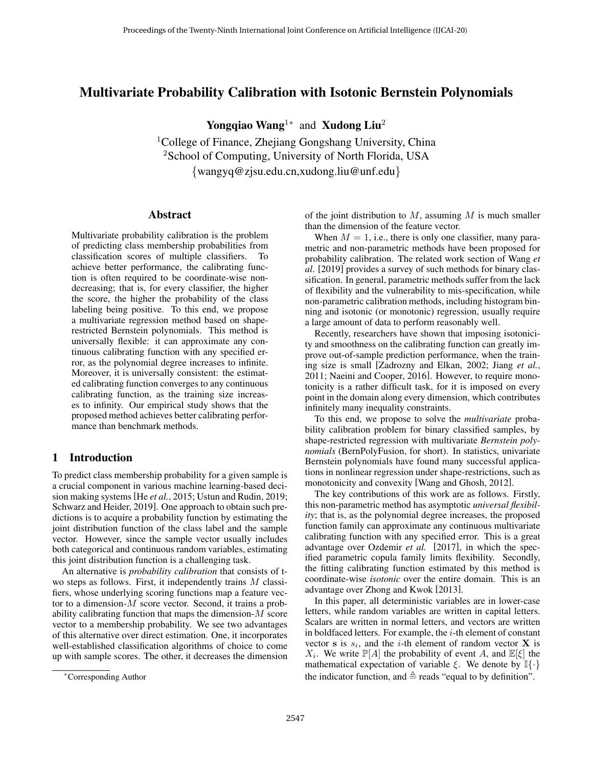# Multivariate Probability Calibration with Isotonic Bernstein Polynomials

Yongqiao Wang<sup>1</sup><sup>∗</sup> and Xudong Liu<sup>2</sup>

<sup>1</sup>College of Finance, Zhejiang Gongshang University, China <sup>2</sup>School of Computing, University of North Florida, USA *{*wangyq@zjsu.edu.cn,xudong.liu@unf.edu*}*

## Abstract

Multivariate probability calibration is the problem of predicting class membership probabilities from classification scores of multiple classifiers. To achieve better performance, the calibrating function is often required to be coordinate-wise nondecreasing; that is, for every classifier, the higher the score, the higher the probability of the class labeling being positive. To this end, we propose a multivariate regression method based on shaperestricted Bernstein polynomials. This method is universally flexible: it can approximate any continuous calibrating function with any specified error, as the polynomial degree increases to infinite. Moreover, it is universally consistent: the estimated calibrating function converges to any continuous calibrating function, as the training size increases to infinity. Our empirical study shows that the proposed method achieves better calibrating performance than benchmark methods.

# 1 Introduction

To predict class membership probability for a given sample is a crucial component in various machine learning-based decision making systems [He *et al.*[, 2015;](#page-6-0) [Ustun and Rudin, 2019](#page-6-1); [Schwarz and Heider, 2019\]](#page-6-2). One approach to obtain such predictions is to acquire a probability function by estimating the joint distribution function of the class label and the sample vector. However, since the sample vector usually includes both categorical and continuous random variables, estimating this joint distribution function is a challenging task.

An alternative is *probability calibration* that consists of two steps as follows. First, it independently trains *M* classifiers, whose underlying scoring functions map a feature vector to a dimension-*M* score vector. Second, it trains a probability calibrating function that maps the dimension-*M* score vector to a membership probability. We see two advantages of this alternative over direct estimation. One, it incorporates well-established classification algorithms of choice to come up with sample scores. The other, it decreases the dimension of the joint distribution to *M*, assuming *M* is much smaller than the dimension of the feature vector.

When  $M = 1$ , i.e., there is only one classifier, many parametric and non-parametric methods have been proposed for probability calibration. The related work section of Wang *et al*. [[2019\]](#page-6-3) provides a survey of such methods for binary classification. In general, parametric methods suffer from the lack of flexibility and the vulnerability to mis-specification, while non-parametric calibration methods, including histogram binning and isotonic (or monotonic) regression, usually require a large amount of data to perform reasonably well.

Recently, researchers have shown that imposing isotonicity and smoothness on the calibrating function can greatly improve out-of-sample prediction performance, when the training size is small [\[Zadrozny and Elkan, 2002;](#page-6-4) Jiang *[et al.](#page-6-5)*, [2011;](#page-6-5) [Naeini and Cooper, 2016\]](#page-6-6). However, to require monotonicity is a rather difficult task, for it is imposed on every point in the domain along every dimension, which contributes infinitely many inequality constraints.

To this end, we propose to solve the *multivariate* probability calibration problem for binary classified samples, by shape-restricted regression with multivariate *Bernstein polynomials* (BernPolyFusion, for short). In statistics, univariate Bernstein polynomials have found many successful applications in nonlinear regression under shape-restrictions, such as monotonicity and convexity [[Wang and Ghosh, 2012](#page-6-7)].

The key contributions of this work are as follows. Firstly, this non-parametric method has asymptotic *universal flexibility*; that is, as the polynomial degree increases, the proposed function family can approximate any continuous multivariate calibrating function with any specified error. This is a great advantage over Ozdemir *et al.* [\[2017\]](#page-6-8), in which the specified parametric copula family limits flexibility. Secondly, the fitting calibrating function estimated by this method is coordinate-wise *isotonic* over the entire domain. This is an advantage over Zhong and Kwok [[2013\]](#page-6-9).

In this paper, all deterministic variables are in lower-case letters, while random variables are written in capital letters. Scalars are written in normal letters, and vectors are written in boldfaced letters. For example, the *i*-th element of constant vector **s** is  $s_i$ , and the *i*-th element of random vector **X** is *X*<sub>*i*</sub>. We write  $\mathbb{P}[A]$  the probability of event *A*, and  $\mathbb{E}[\xi]$  the mathematical expectation of variable *ξ*. We denote by I*{·}* the indicator function, and  $\triangleq$  reads "equal to by definition".

*<sup>∗</sup>*Corresponding Author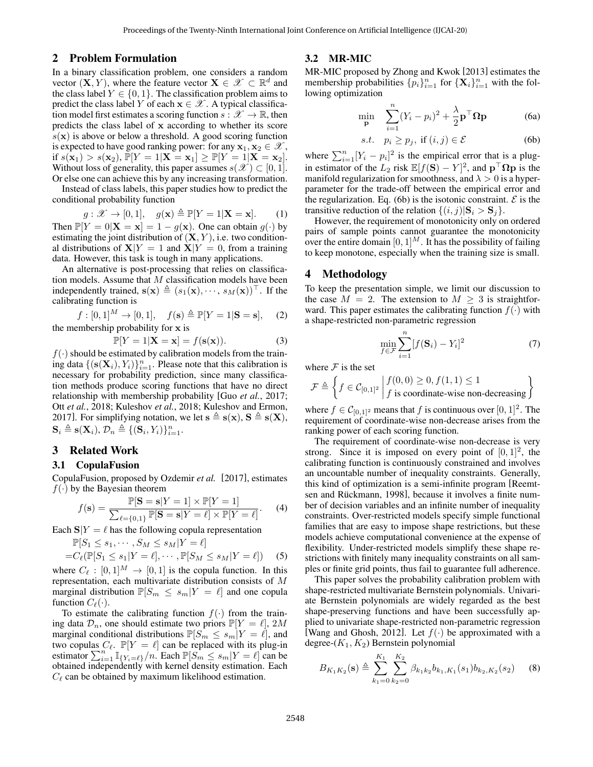### 2 Problem Formulation

In a binary classification problem, one considers a random vector  $(X, Y)$ , where the feature vector  $X \in \mathcal{X} \subset \mathbb{R}^d$  and the class label  $Y \in \{0, 1\}$ . The classification problem aims to predict the class label *Y* of each  $\mathbf{x} \in \mathcal{X}$ . A typical classification model first estimates a scoring function  $s : \mathcal{X} \to \mathbb{R}$ , then predicts the class label of **x** according to whether its score  $s(\mathbf{x})$  is above or below a threshold. A good scoring function is expected to have good ranking power: for any  $x_1, x_2 \in \mathcal{X}$ , if  $s(\mathbf{x}_1) > s(\mathbf{x}_2)$ ,  $\bar{\mathbb{P}}[Y = 1 | \mathbf{X} = \mathbf{x}_1] \geq \mathbb{P}[Y = 1 | \mathbf{X} = \mathbf{x}_2].$ Without loss of generality, this paper assumes  $s(\mathscr{X}) \subset [0, 1]$ . Or else one can achieve this by any increasing transformation.

Instead of class labels, this paper studies how to predict the conditional probability function

$$
g: \mathcal{X} \to [0, 1], \quad g(\mathbf{x}) \triangleq \mathbb{P}[Y = 1 | \mathbf{X} = \mathbf{x}]. \tag{1}
$$

Then  $\mathbb{P}[Y = 0 | \mathbf{X} = \mathbf{x}] = 1 - q(\mathbf{x})$ . One can obtain  $q(\cdot)$  by estimating the joint distribution of  $(X, Y)$ , i.e. two conditional distributions of  $X|Y = 1$  and  $X|Y = 0$ , from a training data. However, this task is tough in many applications.

An alternative is post-processing that relies on classification models. Assume that *M* classification models have been independently trained,  $\mathbf{s}(\mathbf{x}) \triangleq (s_1(\mathbf{x}), \dots, s_M(\mathbf{x}))^{\top}$ . If the calibrating function is

$$
f: [0,1]^M \to [0,1],
$$
  $f(\mathbf{s}) \triangleq \mathbb{P}[Y = 1 | \mathbf{S} = \mathbf{s}],$  (2)  
the membership probability for **x** is

$$
\mathbb{P}[Y=1|\mathbf{X}=\mathbf{x}] = f(\mathbf{s}(\mathbf{x})).\tag{3}
$$

 $f(\cdot)$  should be estimated by calibration models from the training data  $\{(\mathbf{s}(\mathbf{X}_i), Y_i)\}_{i=1}^n$ . Please note that this calibration is necessary for probability prediction, since many classification methods produce scoring functions that have no direct relationship with membership probability [Guo *et al.*[, 2017](#page-6-10); Ott *et al.*[, 2018](#page-6-11); [Kuleshov](#page-6-12) *et al.*, 2018; [Kuleshov and Ermon,](#page-6-13) [2017\]](#page-6-13). For simplifying notation, we let  $\mathbf{s} \triangleq \mathbf{s}(\mathbf{x})$ ,  $\mathbf{S} \triangleq \mathbf{s}(\mathbf{X})$ ,  $\mathbf{S}_i \triangleq \mathbf{s}(\mathbf{X}_i), \mathcal{D}_n \triangleq \{(\mathbf{S}_i, Y_i)\}_{i=1}^n.$ 

# 3 Related Work

#### 3.1 CopulaFusion

CopulaFusion, proposed by Ozdemir *et al.* [[2017\]](#page-6-8), estimates  $f(\cdot)$  by the Bayesian theorem

$$
f(\mathbf{s}) = \frac{\mathbb{P}[\mathbf{S} = \mathbf{s}|Y=1] \times \mathbb{P}[Y=1]}{\sum_{\ell=\{0,1\}} \mathbb{P}[\mathbf{S} = \mathbf{s}|Y=\ell] \times \mathbb{P}[Y=\ell]}.
$$
 (4)

Each  $S|Y = \ell$  has the following copula representation

$$
\mathbb{P}[S_1 \le s_1, \cdots, S_M \le s_M | Y = \ell] = C_{\ell}(\mathbb{P}[S_1 \le s_1 | Y = \ell], \cdots, \mathbb{P}[S_M \le s_M | Y = \ell])
$$
 (5)

where  $C_{\ell} : [0,1]^{M} \rightarrow [0,1]$  is the copula function. In this representation, each multivariate distribution consists of *M* marginal distribution  $\mathbb{P}[S_m \leq s_m | Y = \ell]$  and one copula function  $C_{\ell}(\cdot)$ .

To estimate the calibrating function  $f(\cdot)$  from the training data  $\mathcal{D}_n$ , one should estimate two priors  $\mathbb{P}[Y = \ell], 2M$ marginal conditional distributions  $\mathbb{P}[S_m \leq s_m | Y = \ell]$ , and two copulas  $C_{\ell}$ .  $\mathbb{P}[Y = \ell]$  can be replaced with its plug-in estimator  $\sum_{i=1}^{n} \mathbb{I}_{\{Y_i = \ell\}}/n$ . Each  $\mathbb{P}[S_m \le s_m | Y = \ell]$  can be obtained independently with kernel density estimation. Each  $C_{\ell}$  can be obtained by maximum likelihood estimation.

#### 3.2 MR-MIC

MR-MIC proposed by Zhong and Kwok [[2013\]](#page-6-9) estimates the membership probabilities  $\{p_i\}_{i=1}^n$  for  $\{\mathbf{X}_i\}_{i=1}^n$  with the following optimization

<span id="page-1-1"></span>
$$
\min_{\mathbf{p}} \quad \sum_{i=1}^{n} (Y_i - p_i)^2 + \frac{\lambda}{2} \mathbf{p}^\top \mathbf{\Omega} \mathbf{p} \tag{6a}
$$

<span id="page-1-0"></span>
$$
s.t. \quad p_i \ge p_j, \text{ if } (i,j) \in \mathcal{E} \tag{6b}
$$

where  $\sum_{i=1}^{n} [Y_i - p_i]^2$  is the empirical error that is a plugin estimator of the  $L_2$  risk  $\mathbb{E}[f(\mathbf{S}) - Y]^2$ , and  $\mathbf{p}^\top \mathbf{\Omega} \mathbf{p}$  is the manifold regularization for smoothness, and  $\lambda > 0$  is a hyperparameter for the trade-off between the empirical error and the regularization. Eq. [\(6b](#page-1-0)) is the isotonic constraint.  $\mathcal E$  is the transitive reduction of the relation  $\{(i, j) | \mathbf{S}_i > \mathbf{S}_j\}.$ 

However, the requirement of monotonicity only on ordered pairs of sample points cannot guarantee the monotonicity over the entire domain  $[0, 1]^M$ . It has the possibility of failing to keep monotone, especially when the training size is small.

## 4 Methodology

To keep the presentation simple, we limit our discussion to the case  $M = 2$ . The extension to  $M \geq 3$  is straightforward. This paper estimates the calibrating function  $f(\cdot)$  with a shape-restricted non-parametric regression

$$
\min_{f \in \mathcal{F}} \sum_{i=1}^{n} [f(\mathbf{S}_i) - Y_i]^2
$$
\n(7)

where  $F$  is the set

$$
\mathcal{F} \triangleq \left\{ f \in \mathcal{C}_{[0,1]^2} \middle| \begin{aligned} f(0,0) &\ge 0, f(1,1) \le 1 \\ f \text{ is coordinate-wise non-decreasing} \end{aligned} \right\}
$$

where  $f \in C_{[0,1]^2}$  means that  $f$  is continuous over  $[0,1]^2$ . The requirement of coordinate-wise non-decrease arises from the ranking power of each scoring function.

The requirement of coordinate-wise non-decrease is very strong. Since it is imposed on every point of  $[0, 1]^2$ , the calibrating function is continuously constrained and involves an uncountable number of inequality constraints. Generally, this kind of optimization is a semi-infinite program [[Reemt](#page-6-14)sen and Rückmann, 1998], because it involves a finite number of decision variables and an infinite number of inequality constraints. Over-restricted models specify simple functional families that are easy to impose shape restrictions, but these models achieve computational convenience at the expense of flexibility. Under-restricted models simplify these shape restrictions with finitely many inequality constraints on all samples or finite grid points, thus fail to guarantee full adherence.

This paper solves the probability calibration problem with shape-restricted multivariate Bernstein polynomials. Univariate Bernstein polynomials are widely regarded as the best shape-preserving functions and have been successfully applied to univariate shape-restricted non-parametric regression [\[Wang and Ghosh, 2012](#page-6-7)]. Let  $f(\cdot)$  be approximated with a degree-(*K*1*, K*2) Bernstein polynomial

$$
B_{K_1K_2}(\mathbf{s}) \triangleq \sum_{k_1=0}^{K_1} \sum_{k_2=0}^{K_2} \beta_{k_1k_2} b_{k_1,K_1}(s_1) b_{k_2,K_2}(s_2) \tag{8}
$$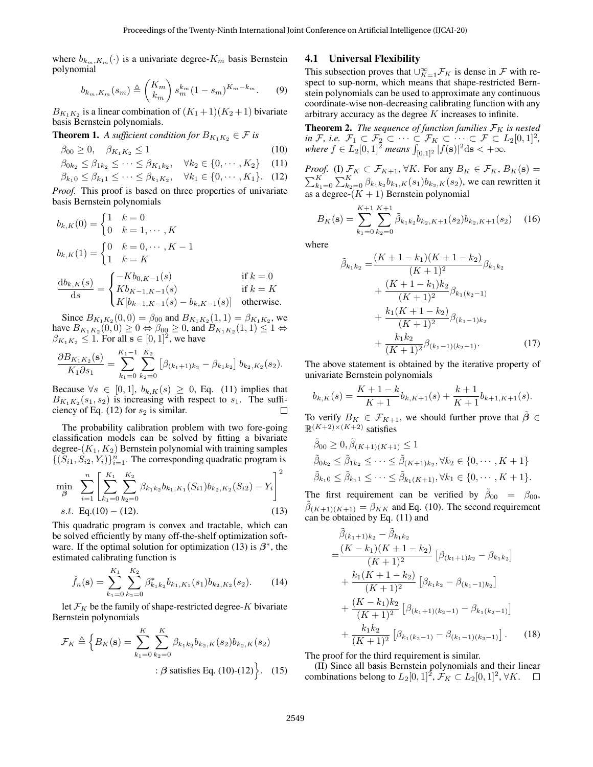where  $b_{k_m,K_m}(\cdot)$  is a univariate degree- $K_m$  basis Bernstein polynomial

$$
b_{k_m,K_m}(s_m) \triangleq {K_m \choose k_m} s_m^{k_m} (1 - s_m)^{K_m - k_m}.
$$
 (9)

 $B_{K_1K_2}$  is a linear combination of  $(K_1+1)(K_2+1)$  bivariate basis Bernstein polynomials.

**Theorem 1.** *A sufficient condition for*  $B_{K_1K_2} \in \mathcal{F}$  *is* 

$$
\beta_{00} \ge 0, \quad \beta_{K_1 K_2} \le 1 \tag{10}
$$

$$
\beta_{0k_2} \leq \beta_{1k_2} \leq \cdots \leq \beta_{K_1k_2}, \quad \forall k_2 \in \{0, \cdots, K_2\}
$$
 (11)

$$
\beta_{k_1 0} \le \beta_{k_1 1} \le \dots \le \beta_{k_1 K_2}, \quad \forall k_1 \in \{0, \dots, K_1\}. \quad (12)
$$

*Proof.* This proof is based on three properties of univariate basis Bernstein polynomials

$$
b_{k,K}(0) = \begin{cases} 1 & k = 0 \\ 0 & k = 1, \dots, K \end{cases}
$$
  
\n
$$
b_{k,K}(1) = \begin{cases} 0 & k = 0, \dots, K - 1 \\ 1 & k = K \end{cases}
$$
  
\n
$$
\frac{db_{k,K}(s)}{ds} = \begin{cases} -Kb_{0,K-1}(s) & \text{if } k = 0 \\ Kb_{K-1,K-1}(s) & \text{if } k = K \\ K[b_{k-1,K-1}(s) - b_{k,K-1}(s)] & \text{otherwise.} \end{cases}
$$

Since  $B_{K_1K_2}(0,0) = \beta_{00}$  and  $B_{K_1K_2}(1,1) = \beta_{K_1K_2}$ , we  $B_{K_1K_2}(0,0) \ge 0 \Leftrightarrow \beta_{00} \ge 0$ , and  $B_{K_1K_2}(1,1) \le 1 \Leftrightarrow$  $\beta_{K_1K_2} \leq 1$ . For all  $s \in [0,1]^2$ , we have

$$
\frac{\partial B_{K_1K_2}(\mathbf{s})}{K_1 \partial s_1} = \sum_{k_1=0}^{K_1-1} \sum_{k_2=0}^{K_2} \left[ \beta_{(k_1+1)k_2} - \beta_{k_1k_2} \right] b_{k_2,K_2}(s_2).
$$

Because  $\forall s \in [0,1], b_{k,K}(s) \geq 0$ , Eq. ([11\)](#page-2-0) implies that  $B_{K_1K_2}(s_1, s_2)$  is increasing with respect to  $s_1$ . The sufficiency of Eq.  $(12)$  $(12)$  for  $s_2$  is similar.  $\Box$ 

The probability calibration problem with two fore-going classification models can be solved by fitting a bivariate degree- $(K_1, K_2)$  Bernstein polynomial with training samples  $\{(S_{i1}, S_{i2}, Y_i)\}_{i=1}^n$ . The corresponding quadratic program is

$$
\min_{\beta} \sum_{i=1}^{n} \left[ \sum_{k_1=0}^{K_1} \sum_{k_2=0}^{K_2} \beta_{k_1 k_2} b_{k_1, K_1}(S_{i1}) b_{k_2, K_2}(S_{i2}) - Y_i \right]^2
$$
  
s.t. Eq.(10) – (12). (13)

This quadratic program is convex and tractable, which can be solved efficiently by many off-the-shelf optimization soft-ware. If the optimal solution for optimization ([13\)](#page-2-3) is  $\beta^*$ , the estimated calibrating function is

<span id="page-2-5"></span>
$$
\hat{f}_n(\mathbf{s}) = \sum_{k_1=0}^{K_1} \sum_{k_2=0}^{K_2} \beta_{k_1 k_2}^* b_{k_1, K_1}(s_1) b_{k_2, K_2}(s_2). \tag{14}
$$

let  $\mathcal{F}_K$  be the family of shape-restricted degree- $K$  bivariate Bernstein polynomials

$$
\mathcal{F}_K \triangleq \left\{ B_K(\mathbf{s}) = \sum_{k_1=0}^K \sum_{k_2=0}^K \beta_{k_1 k_2} b_{k_2, K}(s_2) b_{k_2, K}(s_2) \right. \\
\left. \qquad \qquad : \beta \text{ satisfies Eq. (10)-(12)} \right\}. \quad (15)
$$

#### 4.1 Universal Flexibility

This subsection proves that  $\bigcup_{K=1}^{\infty}$  *F<sub>K</sub>* is dense in *F* with respect to sup-norm, which means that shape-restricted Bernstein polynomials can be used to approximate any continuous coordinate-wise non-decreasing calibrating function with any arbitrary accuracy as the degree *K* increases to infinite.

<span id="page-2-4"></span><span id="page-2-2"></span>**Theorem 2.** *The sequence of function families*  $\mathcal{F}_K$  *is nested*  $\forall$ *in F*, *i.e.*  $\mathcal{F}_1 \subset \mathcal{F}_2 \subset \cdots \subset \mathcal{F}_K \subset \cdots \subset \mathcal{F} \subset L_2[0,1]^2$ ,  $\mu$  *where*  $f \in L_2[0,1]^2$  *means*  $\int_{[0,1]^2} |f(\mathbf{s})|^2 d\mathbf{s} < +\infty$ .

<span id="page-2-1"></span><span id="page-2-0"></span>*Proof.* (I)  $\mathcal{F}_K \subset \mathcal{F}_{K+1}$ ,  $\forall K$ . For any  $B_K \in \mathcal{F}_K$ ,  $B_K(\mathbf{s}) =$  $\sum_{k_1=0}^{K} \sum_{k_2=0}^{K} \beta_{k_1 k_2} b_{k_1,K}(s_1) b_{k_2,K}(s_2)$ , we can rewritten it as a degree- $(K + 1)$  Bernstein polynomial

$$
B_K(\mathbf{s}) = \sum_{k_1=0}^{K+1} \sum_{k_2=0}^{K+1} \tilde{\beta}_{k_1 k_2} b_{k_2, K+1}(s_2) b_{k_2, K+1}(s_2) \quad (16)
$$

where

$$
\tilde{\beta}_{k_1k_2} = \frac{(K+1-k_1)(K+1-k_2)}{(K+1)^2} \beta_{k_1k_2} \n+ \frac{(K+1-k_1)k_2}{(K+1)^2} \beta_{k_1(k_2-1)} \n+ \frac{k_1(K+1-k_2)}{(K+1)^2} \beta_{(k_1-1)k_2} \n+ \frac{k_1k_2}{(K+1)^2} \beta_{(k_1-1)(k_2-1)}.
$$
\n(17)

The above statement is obtained by the iterative property of univariate Bernstein polynomials

$$
b_{k,K}(s) = \frac{K+1-k}{K+1}b_{k,K+1}(s) + \frac{k+1}{K+1}b_{k+1,K+1}(s).
$$

To verify  $B_K \in \mathcal{F}_{K+1}$ , we should further prove that  $\hat{\beta} \in$  $\mathbb{R}^{(K+2)\times(K+2)}$  satisfies

$$
\tilde{\beta}_{00} \ge 0, \tilde{\beta}_{(K+1)(K+1)} \le 1
$$
  
\n
$$
\tilde{\beta}_{0k_2} \le \tilde{\beta}_{1k_2} \le \cdots \le \tilde{\beta}_{(K+1)k_2}, \forall k_2 \in \{0, \cdots, K+1\}
$$
  
\n
$$
\tilde{\beta}_{k_1 0} \le \tilde{\beta}_{k_1 1} \le \cdots \le \tilde{\beta}_{k_1(K+1)}, \forall k_1 \in \{0, \cdots, K+1\}.
$$

<span id="page-2-3"></span>The first requirement can be verified by  $\tilde{\beta}_{00} = \beta_{00}$ ,  $\tilde{\beta}_{(K+1)(K+1)} = \beta_{KK}$  and Eq. [\(10](#page-2-2)). The second requirement can be obtained by Eq. [\(11](#page-2-0)) and

$$
\tilde{\beta}_{(k_1+1)k_2} - \tilde{\beta}_{k_1k_2}
$$
\n
$$
= \frac{(K - k_1)(K + 1 - k_2)}{(K + 1)^2} \left[ \beta_{(k_1+1)k_2} - \beta_{k_1k_2} \right]
$$
\n
$$
+ \frac{k_1(K + 1 - k_2)}{(K + 1)^2} \left[ \beta_{k_1k_2} - \beta_{(k_1-1)k_2} \right]
$$
\n
$$
+ \frac{(K - k_1)k_2}{(K + 1)^2} \left[ \beta_{(k_1+1)(k_2-1)} - \beta_{k_1(k_2-1)} \right]
$$
\n
$$
+ \frac{k_1k_2}{(K + 1)^2} \left[ \beta_{k_1(k_2-1)} - \beta_{(k_1-1)(k_2-1)} \right].
$$
\n(18)

The proof for the third requirement is similar.

(II) Since all basis Bernstein polynomials and their linear combinations belong to  $L_2[0,1]^2$ ,  $\mathcal{F}_K \subset L_2[0,1]^2$ ,  $\forall K$ .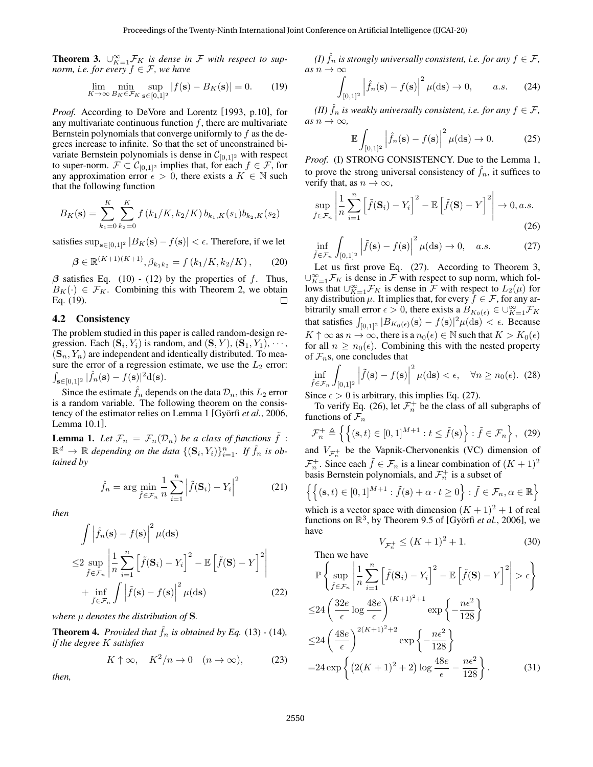<span id="page-3-3"></span>**Theorem 3.**  $\cup_{K=1}^{\infty}$  *F<sub>K</sub> is dense in F with respect to supnorm, i.e. for every*  $f \in \mathcal{F}$ *, we have* 

<span id="page-3-0"></span>
$$
\lim_{K \to \infty} \min_{B_K \in \mathcal{F}_K} \sup_{\mathbf{s} \in [0,1]^2} |f(\mathbf{s}) - B_K(\mathbf{s})| = 0. \tag{19}
$$

*Proof.* According to DeVore and Lorentz [\[1993](#page-6-15), p.10], for any multivariate continuous function *f*, there are multivariate Bernstein polynomials that converge uniformly to *f* as the degrees increase to infinite. So that the set of unconstrained bivariate Bernstein polynomials is dense in  $C_{[0,1]^2}$  with respect to super-norm.  $\mathcal{F} \subset \mathcal{C}_{[0,1]^2}$  implies that, for each  $f \in \mathcal{F}$ , for any approximation error  $\epsilon > 0$ , there exists a  $K \in \mathbb{N}$  such that the following function

$$
B_K(\mathbf{s}) = \sum_{k_1=0}^K \sum_{k_2=0}^K f(k_1/K, k_2/K) b_{k_1,K}(s_1) b_{k_2,K}(s_2)
$$

satisfies  $\sup_{s \in [0,1]^2} |B_K(s) - f(s)| < \epsilon$ . Therefore, if we let

$$
\beta \in \mathbb{R}^{(K+1)(K+1)}, \beta_{k_1 k_2} = f(k_1/K, k_2/K), \quad (20)
$$

*β* satisfies Eq. ([10\)](#page-2-2) - ([12\)](#page-2-1) by the properties of *f*. Thus,  $B_K(\cdot) \in \mathcal{F}_K$ . Combining this with Theorem [2,](#page-2-4) we obtain Eq. ([19\)](#page-3-0).  $\Box$ 

### 4.2 Consistency

The problem studied in this paper is called random-design regression. Each  $(\mathbf{S}_i, Y_i)$  is random, and  $(\mathbf{S}, Y)$ ,  $(\mathbf{S}_1, Y_1)$ ,  $\cdots$ ,  $({\bf S}_n, Y_n)$  are independent and identically distributed. To measure the error of a regression estimate, we use the  $L_2$  error:  $\int_{\mathbf{s}\in[0,1]^2}|\hat{f}_n(\mathbf{s}) - f(\mathbf{s})|^2 d(\mathbf{s}).$ 

Since the estimate  $\hat{f}_n$  depends on the data  $\mathcal{D}_n$ , this  $L_2$  error is a random variable. The following theorem on the consis-tency of the estimator relies on Lemma [1](#page-3-1) [Györfi *et al.*, 2006, Lemma 10.1].

<span id="page-3-1"></span>**Lemma 1.** Let  $\mathcal{F}_n = \mathcal{F}_n(\mathcal{D}_n)$  be a class of functions  $\tilde{f}$  :  $\mathbb{R}^d \to \mathbb{R}$  depending on the data  $\{(\mathbf{S}_i, Y_i)\}_{i=1}^n$ . If  $\hat{f}_n$  is ob*tained by*

$$
\hat{f}_n = \arg\min_{\tilde{f} \in \mathcal{F}_n} \frac{1}{n} \sum_{i=1}^n \left| \tilde{f}(\mathbf{S}_i) - Y_i \right|^2 \tag{21}
$$

*then*

$$
\int \left| \hat{f}_n(\mathbf{s}) - f(\mathbf{s}) \right|^2 \mu(\mathrm{d}\mathbf{s})
$$
  
\n
$$
\leq 2 \sup_{\tilde{f} \in \mathcal{F}_n} \left| \frac{1}{n} \sum_{i=1}^n \left[ \tilde{f}(\mathbf{S}_i) - Y_i \right]^2 - \mathbb{E} \left[ \tilde{f}(\mathbf{S}) - Y \right]^2 \right|
$$
  
\n
$$
+ \inf_{\tilde{f} \in \mathcal{F}_n} \int \left| \tilde{f}(\mathbf{s}) - f(\mathbf{s}) \right|^2 \mu(\mathrm{d}\mathbf{s}) \tag{22}
$$

*where µ denotes the distribution of* **S***.*

**Theorem 4.** *Provided that*  $\hat{f}_n$  *is obtained by Eq.* [\(13](#page-2-3)) - [\(14](#page-2-5))*, if the degree K satisfies*

<span id="page-3-5"></span>
$$
K \uparrow \infty, \quad K^2/n \to 0 \quad (n \to \infty), \tag{23}
$$

*then,*

*(I)*  $\hat{f}_n$  *is strongly universally consistent, i.e. for any*  $f \in \mathcal{F}$ *,*  $as n \to \infty$ 

$$
\int_{[0,1]^2} \left| \hat{f}_n(\mathbf{s}) - f(\mathbf{s}) \right|^2 \mu(\mathrm{d}\mathbf{s}) \to 0, \qquad a.s. \tag{24}
$$

*(II)*  $\hat{f}_n$  *is weakly universally consistent, i.e. for any*  $f \in \mathcal{F}$ *,*  $as n \rightarrow \infty$ ,

<span id="page-3-4"></span><span id="page-3-2"></span>
$$
\mathbb{E}\int_{[0,1]^2} \left|\hat{f}_n(\mathbf{s}) - f(\mathbf{s})\right|^2 \mu(\mathrm{d}\mathbf{s}) \to 0. \tag{25}
$$

*Proof.* (I) STRONG CONSISTENCY. Due to the Lemma [1,](#page-3-1) to prove the strong universal consistency of  $f_n$ , it suffices to verify that, as  $n \to \infty$ ,

$$
\sup_{\tilde{f}\in\mathcal{F}_n} \left| \frac{1}{n} \sum_{i=1}^n \left[ \tilde{f}(\mathbf{S}_i) - Y_i \right]^2 - \mathbb{E}\left[ \tilde{f}(\mathbf{S}) - Y \right]^2 \right| \to 0, a.s.
$$
\n(26)

$$
\inf_{\tilde{f}\in\mathcal{F}_n} \int_{[0,1]^2} \left|\tilde{f}(\mathbf{s}) - f(\mathbf{s})\right|^2 \mu(\mathrm{d}\mathbf{s}) \to 0, \quad a.s. \tag{27}
$$

Let us first prove Eq. ([27\)](#page-3-2). According to Theorem [3,](#page-3-3) *∪*<sup>∞</sup><sub>*K*=1</sub> $\mathcal{F}_K$  is dense in  $\mathcal{F}$  with respect to sup norm, which follows that  $\bigcup_{K=1}^{\infty}$  *F<sub>K</sub>* is dense in *F* with respect to  $L_2(\mu)$  for any distribution  $\mu$ . It implies that, for every  $f \in \mathcal{F}$ , for any arbitrarily small error  $\epsilon > 0$ , there exists a  $B_{K_0(\epsilon)} \in \bigcup_{K=1}^{\infty} \mathcal{F}_K$ that satisfies  $\int_{[0,1]^2} |B_{K_0(\epsilon)}(\mathbf{s}) - f(\mathbf{s})|^2 \mu(\mathrm{d}\mathbf{s}) < \epsilon$ . Because  $K \uparrow \infty$  as  $n \to \infty$ , there is a  $n_0(\epsilon) \in \mathbb{N}$  such that  $K > K_0(\epsilon)$ for all  $n \geq n_0(\epsilon)$ . Combining this with the nested property of *Fn*s, one concludes that

<span id="page-3-6"></span>
$$
\inf_{\tilde{f}\in\mathcal{F}_n}\int_{[0,1]^2} \left|\tilde{f}(\mathbf{s}) - f(\mathbf{s})\right|^2 \mu(\mathrm{d}\mathbf{s}) < \epsilon, \quad \forall n \ge n_0(\epsilon). \tag{28}
$$

Since  $\epsilon > 0$  is arbitrary, this implies Eq. ([27\)](#page-3-2).

To verify Eq. ([26\)](#page-3-4), let  $\mathcal{F}_n^+$  be the class of all subgraphs of functions of  $\mathcal{F}_n$ 

$$
\mathcal{F}_n^+ \triangleq \left\{ \left\{ (\mathbf{s}, t) \in [0, 1]^{M+1} : t \leq \tilde{f}(\mathbf{s}) \right\} : \tilde{f} \in \mathcal{F}_n \right\}, \tag{29}
$$
\nand  $V_{\mathcal{F}_n^+}$  be the Vapnik-Chervonenkis (VC) dimension of  $\mathcal{F}_n^+$ . Since each  $\tilde{f} \in \mathcal{F}_n$  is a linear combination of  $(K + 1)^2$  basis Bernstein polynomials, and  $\mathcal{F}_n^+$  is a subset of

$$
\left\{ \left\{ (\mathbf{s},t) \in [0,1]^{M+1} : \tilde{f}(\mathbf{s}) + \alpha \cdot t \ge 0 \right\} : \tilde{f} \in \mathcal{F}_n, \alpha \in \mathbb{R} \right\}
$$

which is a vector space with dimension  $(K + 1)^2 + 1$  of real functions on  $\mathbb{R}^3$ , by Theorem 9.5 of [Györfi *et al.*, 2006], we have

<span id="page-3-7"></span>
$$
V_{\mathcal{F}_n^+} \le (K+1)^2 + 1. \tag{30}
$$

Then we have  
\n
$$
\mathbb{P}\left\{\sup_{\tilde{f}\in\mathcal{F}_n} \left|\frac{1}{n}\sum_{i=1}^n \left[\tilde{f}(\mathbf{S}_i) - Y_i\right]^2 - \mathbb{E}\left[\tilde{f}(\mathbf{S}) - Y\right]^2\right| > \epsilon\right\}
$$
\n
$$
\leq 24 \left(\frac{32e}{\epsilon} \log \frac{48e}{\epsilon}\right)^{(K+1)^2+1} \exp\left\{-\frac{n\epsilon^2}{128}\right\}
$$
\n
$$
\leq 24 \left(\frac{48e}{\epsilon}\right)^{2(K+1)^2+2} \exp\left\{-\frac{n\epsilon^2}{128}\right\}
$$
\n
$$
= 24 \exp\left\{(2(K+1)^2+2) \log \frac{48e}{\epsilon} - \frac{n\epsilon^2}{128}\right\}.
$$
\n(31)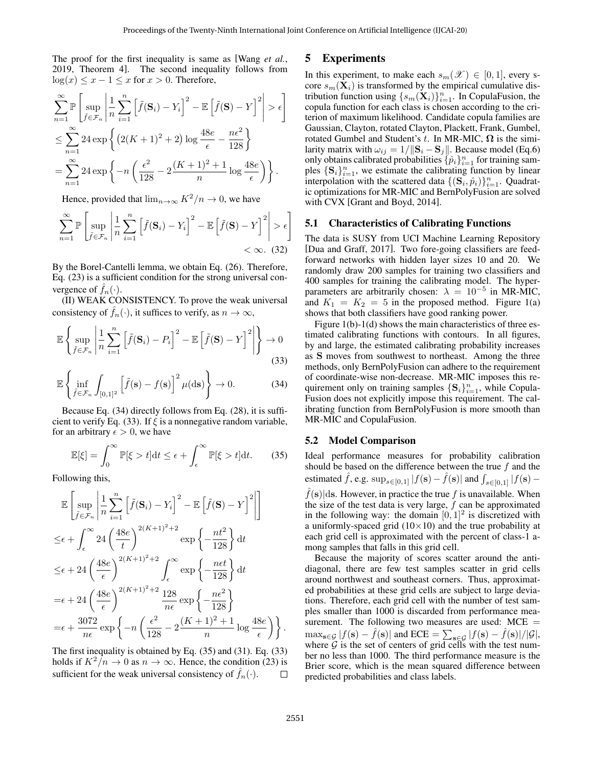The proof for the first inequality is same as [[Wang](#page-6-3) *et al.*, [2019,](#page-6-3) Theorem 4]. The second inequality follows from log(*x*) ≤ *x* − 1 ≤ *x* for *x* > 0. Therefore,

$$
\sum_{n=1}^{\infty} \mathbb{P}\left[\sup_{\tilde{f}\in\mathcal{F}_n} \left|\frac{1}{n}\sum_{i=1}^n \left[\tilde{f}(\mathbf{S}_i) - Y_i\right]^2 - \mathbb{E}\left[\tilde{f}(\mathbf{S}) - Y\right]^2\right| > \epsilon\right]
$$
  

$$
\leq \sum_{n=1}^{\infty} 24 \exp\left\{\left(2(K+1)^2 + 2\right)\log\frac{48e}{\epsilon} - \frac{n\epsilon^2}{128}\right\}
$$
  

$$
= \sum_{n=1}^{\infty} 24 \exp\left\{-n\left(\frac{\epsilon^2}{128} - 2\frac{(K+1)^2 + 1}{n}\log\frac{48e}{\epsilon}\right)\right\}.
$$

Hence, provided that  $\lim_{n\to\infty} K^2/n \to 0$ , we have

$$
\sum_{n=1}^{\infty} \mathbb{P}\left[\sup_{\tilde{f}\in\mathcal{F}_n} \left|\frac{1}{n}\sum_{i=1}^n \left[\tilde{f}(\mathbf{S}_i) - Y_i\right]^2 - \mathbb{E}\left[\tilde{f}(\mathbf{S}) - Y\right]^2\right| > \epsilon\right]
$$
  
<  $\infty$ . (32)

By the Borel-Cantelli lemma, we obtain Eq. [\(26](#page-3-4)). Therefore, Eq. ([23\)](#page-3-5) is a sufficient condition for the strong universal convergence of  $\hat{f}_n(\cdot)$ .

(II) WEAK CONSISTENCY. To prove the weak universal consistency of  $f_n(\cdot)$ , it suffices to verify, as  $n \to \infty$ ,

$$
\mathbb{E}\left\{\sup_{\tilde{f}\in\mathcal{F}_n}\left|\frac{1}{n}\sum_{i=1}^n\left[\tilde{f}(\mathbf{S}_i)-P_i\right]^2-\mathbb{E}\left[\tilde{f}(\mathbf{S})-Y\right]^2\right|\right\}\to 0\tag{33}
$$

$$
\mathbb{E}\left\{\inf_{\tilde{f}\in\mathcal{F}_n}\int_{[0,1]^2}\left[\tilde{f}(\mathbf{s})-f(\mathbf{s})\right]^2\mu(\mathrm{d}\mathbf{s})\right\}\to 0.\tag{34}
$$

Because Eq. [\(34](#page-4-0)) directly follows from Eq. [\(28](#page-3-6)), it is sufficient to verify Eq. ([33\)](#page-4-1). If *ξ* is a nonnegative random variable, for an arbitrary  $\epsilon > 0$ , we have

<span id="page-4-2"></span>
$$
\mathbb{E}[\xi] = \int_0^\infty \mathbb{P}[\xi > t] dt \le \epsilon + \int_\epsilon^\infty \mathbb{P}[\xi > t] dt. \tag{35}
$$

Following this,

$$
\mathbb{E}\left[\sup_{\tilde{f}\in\mathcal{F}_n}\left|\frac{1}{n}\sum_{i=1}^n\left[\tilde{f}(\mathbf{S}_i)-Y_i\right]^2-\mathbb{E}\left[\tilde{f}(\mathbf{S})-Y\right]^2\right|\right]
$$
\n
$$
\leq\epsilon+\int_{\epsilon}^{\infty}24\left(\frac{48e}{t}\right)^{2(K+1)^2+2}\exp\left\{-\frac{nt^2}{128}\right\}dt
$$
\n
$$
\leq\epsilon+24\left(\frac{48e}{\epsilon}\right)^{2(K+1)^2+2}\int_{\epsilon}^{\infty}\exp\left\{-\frac{net}{128}\right\}dt
$$
\n
$$
=\epsilon+24\left(\frac{48e}{\epsilon}\right)^{2(K+1)^2+2}\frac{128}{n\epsilon}\exp\left\{-\frac{n\epsilon^2}{128}\right\}
$$
\n
$$
=\epsilon+\frac{3072}{n\epsilon}\exp\left\{-n\left(\frac{\epsilon^2}{128}-2\frac{(K+1)^2+1}{n}\log\frac{48e}{\epsilon}\right)\right\}.
$$

The first inequality is obtained by Eq. [\(35](#page-4-2)) and [\(31](#page-3-7)). Eq. ([33\)](#page-4-1) holds if  $K^2/n \to 0$  as  $n \to \infty$ . Hence, the condition [\(23](#page-3-5)) is sufficient for the weak universal consistency of  $f_n(\cdot)$ .  $\Box$ 

## 5 Experiments

In this experiment, to make each  $s_m(\mathscr{X}) \in [0,1]$ , every score  $s_m(\mathbf{X}_i)$  is transformed by the empirical cumulative distribution function using  $\{s_m(\mathbf{X}_i)\}_{i=1}^n$ . In CopulaFusion, the copula function for each class is chosen according to the criterion of maximum likelihood. Candidate copula families are Gaussian, Clayton, rotated Clayton, Plackett, Frank, Gumbel, rotated Gumbel and Student's *t*. In MR-MIC, **Ω** is the similarity matrix with  $\omega_{ij} = 1/||\mathbf{S}_i - \mathbf{S}_j||$ . Because model (Eq.[6\)](#page-1-1) only obtains calibrated probabilities  $\{\hat{p}_i\}_{i=1}^n$  for training samples  ${\bf S}_i\}_{i=1}^n$ , we estimate the calibrating function by linear interpolation with the scattered data  $\{(\mathbf{S}_i, \hat{p}_i)\}_{i=1}^n$ . Quadratic optimizations for MR-MIC and BernPolyFusion are solved with CVX [\[Grant and Boyd, 2014](#page-6-17)].

## 5.1 Characteristics of Calibrating Functions

The data is SUSY from UCI Machine Learning Repository [\[Dua and Graff, 2017\]](#page-6-18). Two fore-going classifiers are feedforward networks with hidden layer sizes 10 and 20. We randomly draw 200 samples for training two classifiers and 400 samples for training the calibrating model. The hyperparameters are arbitrarily chosen:  $\lambda = 10^{-5}$  in MR-MIC, and  $K_1 = K_2 = 5$  in the proposed method. Figure [1\(a\)](#page-5-0) shows that both classifiers have good ranking power.

<span id="page-4-1"></span><span id="page-4-0"></span>Figure [1\(b\)-](#page-5-1)[1\(d\)](#page-5-2) shows the main characteristics of three estimated calibrating functions with contours. In all figures, by and large, the estimated calibrating probability increases as **S** moves from southwest to northeast. Among the three methods, only BernPolyFusion can adhere to the requirement of coordinate-wise non-decrease. MR-MIC imposes this requirement only on training samples  ${\bf S}_i$ <sup>n</sup><sub>*i*=1</sub>, while Copula-Fusion does not explicitly impose this requirement. The calibrating function from BernPolyFusion is more smooth than MR-MIC and CopulaFusion.

#### <span id="page-4-3"></span>5.2 Model Comparison

Ideal performance measures for probability calibration should be based on the difference between the true *f* and the estimated  $\hat{f}$ , e.g.  $\sup_{s \in [0,1]} |f(\mathbf{s}) - \hat{f}(\mathbf{s})|$  and  $\int_{s \in [0,1]} |f(\mathbf{s}) \hat{f}(\mathbf{s})|\text{ds}$ . However, in practice the true f is unavailable. When the size of the test data is very large, *f* can be approximated in the following way: the domain  $[0, 1]^2$  is discretized with a uniformly-spaced grid (10*×*10) and the true probability at each grid cell is approximated with the percent of class-1 among samples that falls in this grid cell.

Because the majority of scores scatter around the antidiagonal, there are few test samples scatter in grid cells around northwest and southeast corners. Thus, approximated probabilities at these grid cells are subject to large deviations. Therefore, each grid cell with the number of test samples smaller than 1000 is discarded from performance measurement. The following two measures are used:  $MCE =$  $\max_{\mathbf{s}\in\mathcal{G}}|f(\mathbf{s})-\hat{f}(\mathbf{s})|$  and  $\text{ECE}=\sum_{\mathbf{s}\in\mathcal{G}}|f(\mathbf{s})-\hat{f}(\mathbf{s})|/|\mathcal{G}|$ , where  $G$  is the set of centers of grid cells with the test number no less than 1000. The third performance measure is the Brier score, which is the mean squared difference between predicted probabilities and class labels.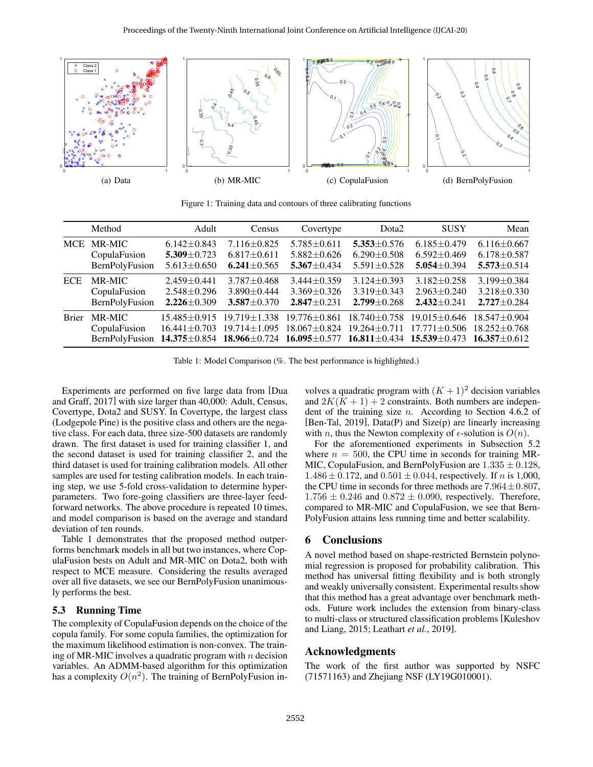<span id="page-5-0"></span>

<span id="page-5-2"></span><span id="page-5-1"></span>Figure 1: Training data and contours of three calibrating functions

<span id="page-5-3"></span>

|              | Method                                                                                            | Adult                                  | Census                                   | Covertype                                | Dota <sub>2</sub>                | <b>SUSY</b>                                                                     | Mean                                                       |
|--------------|---------------------------------------------------------------------------------------------------|----------------------------------------|------------------------------------------|------------------------------------------|----------------------------------|---------------------------------------------------------------------------------|------------------------------------------------------------|
| <b>MCE</b>   | MR-MIC                                                                                            | $6.142 \pm 0.843$                      | $7.116 \pm 0.825$                        | $5.785 \pm 0.611$                        | $5.353 \pm 0.576$                | $6.185 \pm 0.479$                                                               | $6.116 \pm 0.667$                                          |
|              | CopulaFusion                                                                                      | $5.309 \pm 0.723$                      | $6.817 \pm 0.611$                        | $5.882 \pm 0.626$                        | $6.290 \pm 0.508$                | $6.592 \pm 0.469$                                                               | $6.178 \pm 0.587$                                          |
|              | BernPolyFusion                                                                                    | $5.613 \pm 0.650$                      | 6.241 $\pm$ 0.565                        | $5.367 + 0.434$                          | $5.591 \pm 0.528$                | $5.054 \pm 0.394$                                                               | $5.573 \pm 0.514$                                          |
| <b>ECE</b>   | MR-MIC                                                                                            | $2.459 + 0.441$                        | $3.787 + 0.468$                          | $3.444 + 0.359$                          | $3.124 + 0.393$                  | $3.182 + 0.258$                                                                 | $3.199 + 0.384$                                            |
|              | CopulaFusion                                                                                      | $2.548 \pm 0.296$                      | $3.890 + 0.444$                          | $3.369 \pm 0.326$                        | $3.319 + 0.343$                  | $2.963 + 0.240$                                                                 | $3.218 + 0.330$                                            |
|              | BernPolyFusion                                                                                    | $2.226 \pm 0.309$                      | $3.587 \pm 0.370$                        | $2.847 \pm 0.231$                        | $2.799 + 0.268$                  | $2.432 \pm 0.241$                                                               | $2.727 \pm 0.284$                                          |
| <b>Brier</b> | MR-MIC<br>CopulaFusion<br>BernPolyFusion $14.375 \pm 0.854$ $18.966 \pm 0.724$ $16.095 \pm 0.577$ | $15.485 + 0.915$<br>$16.441 \pm 0.703$ | $19.719 \pm 1.338$<br>$19.714 \pm 1.095$ | $19.776 \pm 0.861$<br>$18.067 \pm 0.824$ | 18.740±0.758<br>$19.264 + 0.711$ | $19.015 + 0.646$<br>$17.771 \pm 0.506$<br>16.811 $\pm$ 0.434 15.539 $\pm$ 0.473 | $18.547 + 0.904$<br>$18.252 \pm 0.768$<br>$16.357 + 0.612$ |

Table 1: Model Comparison (%. The best performance is highlighted.)

Experiments are performed on five large data from [\[Dua](#page-6-18) [and Graff, 2017\]](#page-6-18) with size larger than 40,000: Adult, Census, Covertype, Dota2 and SUSY. In Covertype, the largest class (Lodgepole Pine) is the positive class and others are the negative class. For each data, three size-500 datasets are randomly drawn. The first dataset is used for training classifier 1, and the second dataset is used for training classifier 2, and the third dataset is used for training calibration models. All other samples are used for testing calibration models. In each training step, we use 5-fold cross-validation to determine hyperparameters. Two fore-going classifiers are three-layer feedforward networks. The above procedure is repeated 10 times, and model comparison is based on the average and standard deviation of ten rounds.

Table [1](#page-5-3) demonstrates that the proposed method outperforms benchmark models in all but two instances, where CopulaFusion bests on Adult and MR-MIC on Dota2, both with respect to MCE measure. Considering the results averaged over all five datasets, we see our BernPolyFusion unanimously performs the best.

#### 5.3 Running Time

The complexity of CopulaFusion depends on the choice of the copula family. For some copula families, the optimization for the maximum likelihood estimation is non-convex. The training of MR-MIC involves a quadratic program with *n* decision variables. An ADMM-based algorithm for this optimization has a complexity  $O(n^2)$ . The training of BernPolyFusion involves a quadratic program with  $(K + 1)^2$  decision variables and  $2K(K + 1) + 2$  constraints. Both numbers are independent of the training size *n*. According to Section 4.6.2 of [\[Ben-Tal, 2019\]](#page-6-19), Data(P) and Size(p) are linearly increasing with *n*, thus the Newton complexity of  $\epsilon$ -solution is  $O(n)$ .

For the aforementioned experiments in Subsection [5.2](#page-4-3) where  $n = 500$ , the CPU time in seconds for training MR-MIC, CopulaFusion, and BernPolyFusion are 1*.*335 *±* 0*.*128, 1*.*486 *±* 0*.*172, and 0*.*501 *±* 0*.*044, respectively. If *n* is 1,000, the CPU time in seconds for three methods are  $7.964 \pm 0.807$ ,  $1.756 \pm 0.246$  and  $0.872 \pm 0.090$ , respectively. Therefore, compared to MR-MIC and CopulaFusion, we see that Bern-PolyFusion attains less running time and better scalability.

### 6 Conclusions

A novel method based on shape-restricted Bernstein polynomial regression is proposed for probability calibration. This method has universal fitting flexibility and is both strongly and weakly universally consistent. Experimental results show that this method has a great advantage over benchmark methods. Future work includes the extension from binary-class to multi-class or structured classification problems [\[Kuleshov](#page-6-20) [and Liang, 2015](#page-6-20); [Leathart](#page-6-21) *et al.*, 2019].

#### Acknowledgments

The work of the first author was supported by NSFC (71571163) and Zhejiang NSF (LY19G010001).